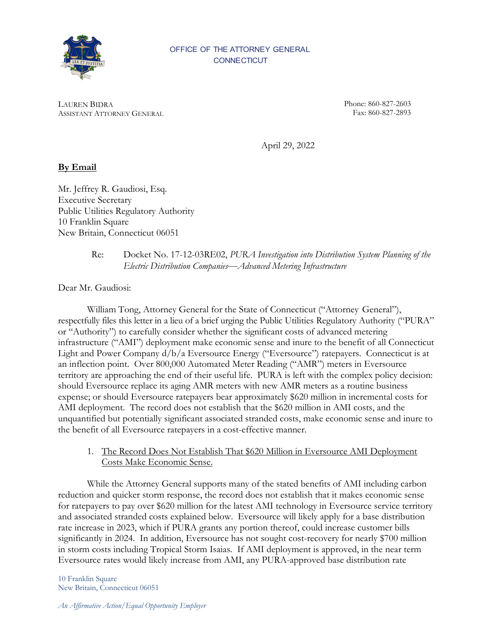

#### OFFICE OF THE ATTORNEY GENERAL **CONNECTICUT**

LAUREN BIDRA ASSISTANT ATTORNEY GENERAL Phone: 860-827- 2603 Fax: 860-827- 2893

April 29, 2022

# **By Email**

Mr. Jeffrey R. Gaudiosi, Esq. Executive Secretary Public Utilities Regulatory Authority 10 Franklin Square New Britain, Connecticut 06051

## Re: Docket No. 17-12-03RE02, *PURA Investigation into Distribution System Planning of the Electric Distribution Companies*—*Advanced Metering Infrastructure*

Dear Mr. Gaudiosi:

William Tong, Attorney General for the State of Connecticut ("Attorney General"), respectfully files this letter in a lieu of a brief urging the Public Utilities Regulatory Authority ("PURA" or "Authority") to carefully consider whether the significant costs of advanced metering infrastructure ("AMI") deployment make economic sense and inure to the benefit of all Connecticut Light and Power Company d/b/a Eversource Energy ("Eversource") ratepayers. Connecticut is at an inflection point. Over 800,000 Automated Meter Reading ("AMR") meters in Eversource territory are approaching the end of their useful life. PURA is left with the complex policy decision: should Eversource replace its aging AMR meters with new AMR meters as a routine business expense; or should Eversource ratepayers bear approximately \$620 million in incremental costs for AMI deployment. The record does not establish that the \$620 million in AMI costs, and the unquantified but potentially significant associated stranded costs, make economic sense and inure to the benefit of all Eversource ratepayers in a cost-effective manner.

1. The Record Does Not Establish That \$620 Million in Eversource AMI Deployment Costs Make Economic Sense.

While the Attorney General supports many of the stated benefits of AMI including carbon reduction and quicker storm response, the record does not establish that it makes economic sense for ratepayers to pay over \$620 million for the latest AMI technology in Eversource service territory and associated stranded costs explained below. Eversource will likely apply for a base distribution rate increase in 2023, which if PURA grants any portion thereof, could increase customer bills significantly in 2024. In addition, Eversource has not sought cost-recovery for nearly \$700 million in storm costs including Tropical Storm Isaias. If AMI deployment is approved, in the near term Eversource rates would likely increase from AMI, any PURA-approved base distribution rate

10 Franklin Square New Britain, Connecticut 06051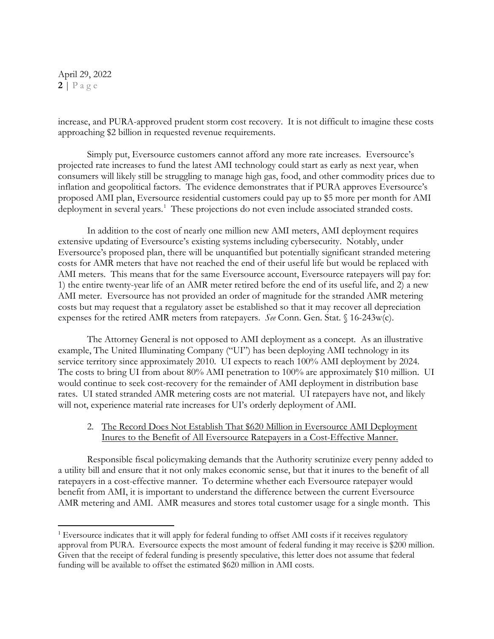April 29, 2022  $2 | P \text{age}$ 

increase, and PURA-approved prudent storm cost recovery. It is not difficult to imagine these costs approaching \$2 billion in requested revenue requirements.

Simply put, Eversource customers cannot afford any more rate increases. Eversource's projected rate increases to fund the latest AMI technology could start as early as next year, when consumers will likely still be struggling to manage high gas, food, and other commodity prices due to inflation and geopolitical factors. The evidence demonstrates that if PURA approves Eversource's proposed AMI plan, Eversource residential customers could pay up to \$5 more per month for AMI deployment in several years. [1](#page-1-0) These projections do not even include associated stranded costs.

In addition to the cost of nearly one million new AMI meters, AMI deployment requires extensive updating of Eversource's existing systems including cybersecurity. Notably, under Eversource's proposed plan, there will be unquantified but potentially significant stranded metering costs for AMR meters that have not reached the end of their useful life but would be replaced with AMI meters. This means that for the same Eversource account, Eversource ratepayers will pay for: 1) the entire twenty-year life of an AMR meter retired before the end of its useful life, and 2) a new AMI meter. Eversource has not provided an order of magnitude for the stranded AMR metering costs but may request that a regulatory asset be established so that it may recover all depreciation expenses for the retired AMR meters from ratepayers. *See* Conn. Gen. Stat. § 16-243w(c).

The Attorney General is not opposed to AMI deployment as a concept. As an illustrative example, The United Illuminating Company ("UI") has been deploying AMI technology in its service territory since approximately 2010. UI expects to reach 100% AMI deployment by 2024. The costs to bring UI from about 80% AMI penetration to 100% are approximately \$10 million. UI would continue to seek cost-recovery for the remainder of AMI deployment in distribution base rates. UI stated stranded AMR metering costs are not material. UI ratepayers have not, and likely will not, experience material rate increases for UI's orderly deployment of AMI.

## 2. The Record Does Not Establish That \$620 Million in Eversource AMI Deployment Inures to the Benefit of All Eversource Ratepayers in a Cost-Effective Manner.

Responsible fiscal policymaking demands that the Authority scrutinize every penny added to a utility bill and ensure that it not only makes economic sense, but that it inures to the benefit of all ratepayers in a cost-effective manner. To determine whether each Eversource ratepayer would benefit from AMI, it is important to understand the difference between the current Eversource AMR metering and AMI. AMR measures and stores total customer usage for a single month. This

<span id="page-1-0"></span><sup>&</sup>lt;sup>1</sup> Eversource indicates that it will apply for federal funding to offset AMI costs if it receives regulatory approval from PURA. Eversource expects the most amount of federal funding it may receive is \$200 million. Given that the receipt of federal funding is presently speculative, this letter does not assume that federal funding will be available to offset the estimated \$620 million in AMI costs.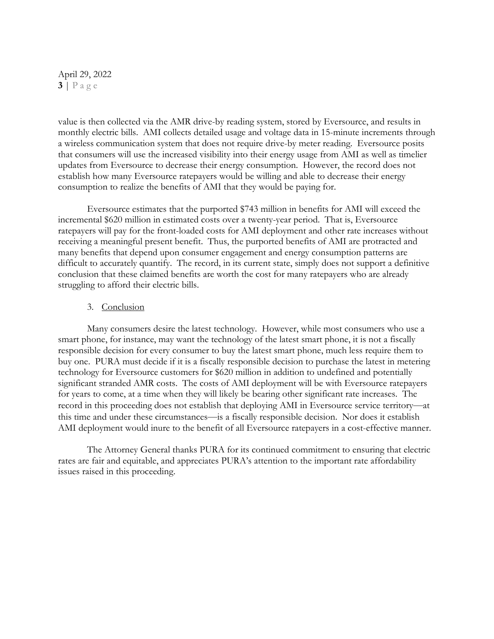## April 29, 2022 **3** | Page

value is then collected via the AMR drive-by reading system, stored by Eversource, and results in monthly electric bills. AMI collects detailed usage and voltage data in 15-minute increments through a wireless communication system that does not require drive-by meter reading. Eversource posits that consumers will use the increased visibility into their energy usage from AMI as well as timelier updates from Eversource to decrease their energy consumption. However, the record does not establish how many Eversource ratepayers would be willing and able to decrease their energy consumption to realize the benefits of AMI that they would be paying for.

Eversource estimates that the purported \$743 million in benefits for AMI will exceed the incremental \$620 million in estimated costs over a twenty-year period. That is, Eversource ratepayers will pay for the front-loaded costs for AMI deployment and other rate increases without receiving a meaningful present benefit. Thus, the purported benefits of AMI are protracted and many benefits that depend upon consumer engagement and energy consumption patterns are difficult to accurately quantify. The record, in its current state, simply does not support a definitive conclusion that these claimed benefits are worth the cost for many ratepayers who are already struggling to afford their electric bills.

#### 3. Conclusion

Many consumers desire the latest technology. However, while most consumers who use a smart phone, for instance, may want the technology of the latest smart phone, it is not a fiscally responsible decision for every consumer to buy the latest smart phone, much less require them to buy one. PURA must decide if it is a fiscally responsible decision to purchase the latest in metering technology for Eversource customers for \$620 million in addition to undefined and potentially significant stranded AMR costs. The costs of AMI deployment will be with Eversource ratepayers for years to come, at a time when they will likely be bearing other significant rate increases. The record in this proceeding does not establish that deploying AMI in Eversource service territory—at this time and under these circumstances—is a fiscally responsible decision. Nor does it establish AMI deployment would inure to the benefit of all Eversource ratepayers in a cost-effective manner.

The Attorney General thanks PURA for its continued commitment to ensuring that electric rates are fair and equitable, and appreciates PURA's attention to the important rate affordability issues raised in this proceeding.